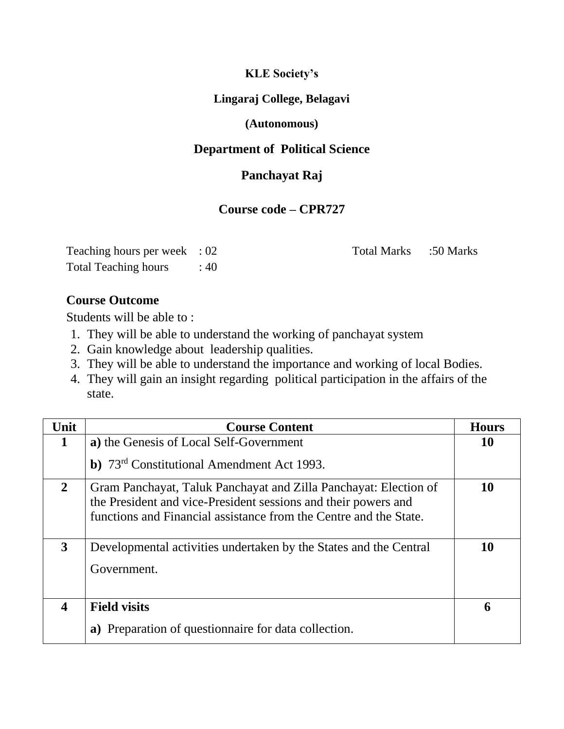# **KLE Society's**

#### **Lingaraj College, Belagavi**

# **(Autonomous)**

#### **Department of Political Science**

# **Panchayat Raj**

#### **Course code – CPR727**

| Teaching hours per week $: 02$ |      | Total Marks :50 Marks |  |
|--------------------------------|------|-----------------------|--|
| <b>Total Teaching hours</b>    | : 40 |                       |  |

# **Course Outcome**

Students will be able to :

- 1. They will be able to understand the working of panchayat system
- 2. Gain knowledge about leadership qualities.
- 3. They will be able to understand the importance and working of local Bodies.
- 4. They will gain an insight regarding political participation in the affairs of the state.

| Unit                    | <b>Course Content</b>                                                                                                                                                                                   | <b>Hours</b> |
|-------------------------|---------------------------------------------------------------------------------------------------------------------------------------------------------------------------------------------------------|--------------|
| $\mathbf 1$             | a) the Genesis of Local Self-Government                                                                                                                                                                 | 10           |
|                         | b) 73 <sup>rd</sup> Constitutional Amendment Act 1993.                                                                                                                                                  |              |
| $\overline{2}$          | Gram Panchayat, Taluk Panchayat and Zilla Panchayat: Election of<br>the President and vice-President sessions and their powers and<br>functions and Financial assistance from the Centre and the State. | 10           |
| 3                       | Developmental activities undertaken by the States and the Central                                                                                                                                       | 10           |
|                         | Government.                                                                                                                                                                                             |              |
| $\overline{\mathbf{4}}$ | <b>Field visits</b>                                                                                                                                                                                     | 6            |
|                         | Preparation of questionnaire for data collection.<br>a)                                                                                                                                                 |              |